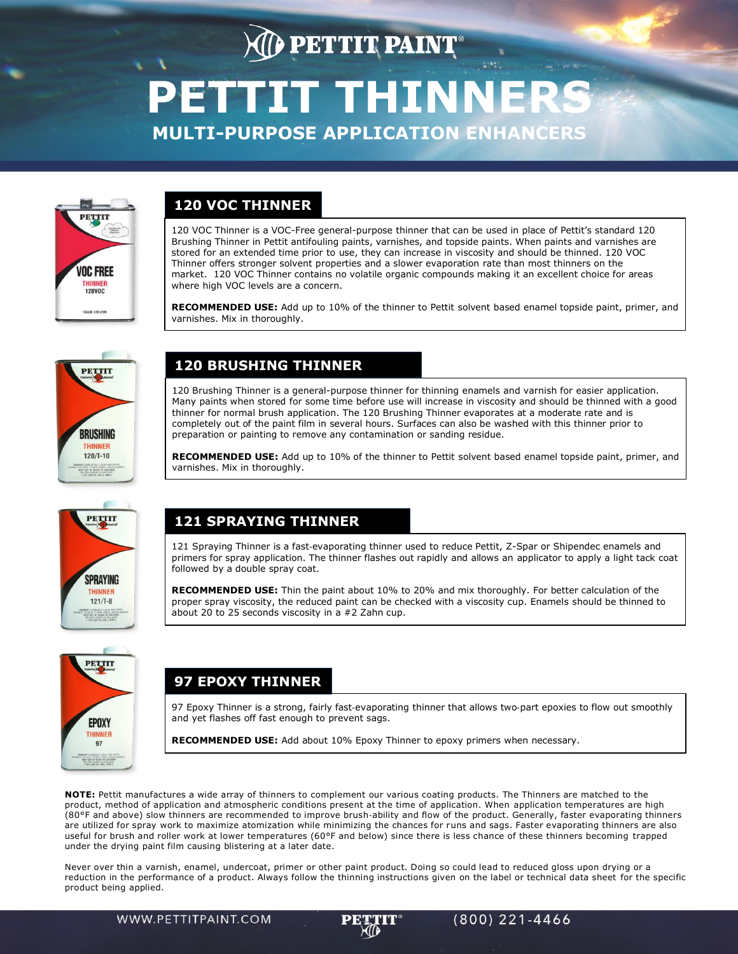# **DETTIT PAINT PETTIT THINNERS MULTI-PURPOSE APPLICATION ENHANCERS**



#### **120 VOC THINNER**

120 VOC Thinner is a VOC-Free general-purpose thinner that can be used in place of Pettit's standard 120 Brushing Thinner in Pettit antifouling paints, varnishes, and topside paints. When paints and varnishes are stored for an extended time prior to use, they can increase in viscosity and should be thinned. 120 VOC Thinner offers stronger solvent properties and a slower evaporation rate than most thinners on the market. 120 VOC Thinner contains no volatile organic compounds making it an excellent choice for areas where high VOC levels are a concern.

**RECOMMENDED USE:** Add up to 10% of the thinner to Pettit solvent based enamel topside paint, primer, and varnishes. Mix in thoroughly.



### PETTIT **SPRAYING THINNER**  $121/T - 8$

#### **120 BRUSHING THINNER**

120 Brushing Thinner is a general-purpose thinner for thinning enamels and varnish for easier application. Many paints when stored for some time before use will increase in viscosity and should be thinned with a good thinner for normal brush application. The 120 Brushing Thinner evaporates at a moderate rate and is completely out of the paint film in several hours. Surfaces can also be washed with this thinner prior to preparation or painting to remove any contamination or sanding residue.

**RECOMMENDED USE:** Add up to 10% of the thinner to Pettit solvent based enamel topside paint, primer, and varnishes. Mix in thoroughly.

#### **121 SPRAYING THINNER**

121 Spraying Thinner is a fast-evaporating thinner used to reduce Pettit, Z-Spar or Shipendec enamels and primers for spray application. The thinner flashes out rapidly and allows an applicator to apply a light tack coat followed by a double spray coat.

**RECOMMENDED USE:** Thin the paint about 10% to 20% and mix thoroughly. For better calculation of the proper spray viscosity, the reduced paint can be checked with a viscosity cup. Enamels should be thinned to about 20 to 25 seconds viscosity in a #2 Zahn cup.



#### **97 EPOXY THINNER**

97 Epoxy Thinner is a strong, fairly fast-evaporating thinner that allows two-part epoxies to flow out smoothly and yet flashes off fast enough to prevent sags.

 $(800)$  221-4466

**RECOMMENDED USE:** Add about 10% Epoxy Thinner to epoxy primers when necessary.

**NOTE:** Pettit manufactures a wide array of thinners to complement our various coating products. The Thinners are matched to the product, method of application and atmospheric conditions present at the time of application. When application temperatures are high (80°F and above) slow thinners are recommended to improve brush‐ability and flow of the product. Generally, faster evaporating thinners are utilized for spray work to maximize atomization while minimizing the chances for runs and sags. Faster evaporating thinners are also useful for brush and roller work at lower temperatures (60°F and below) since there is less chance of these thinners becoming trapped under the drying paint film causing blistering at a later date.

Never over thin a varnish, enamel, undercoat, primer or other paint product. Doing so could lead to reduced gloss upon drying or a reduction in the performance of a product. Always follow the thinning instructions given on the label or technical data sheet for the specific product being applied.

WWW.PETTITPAINT.COM